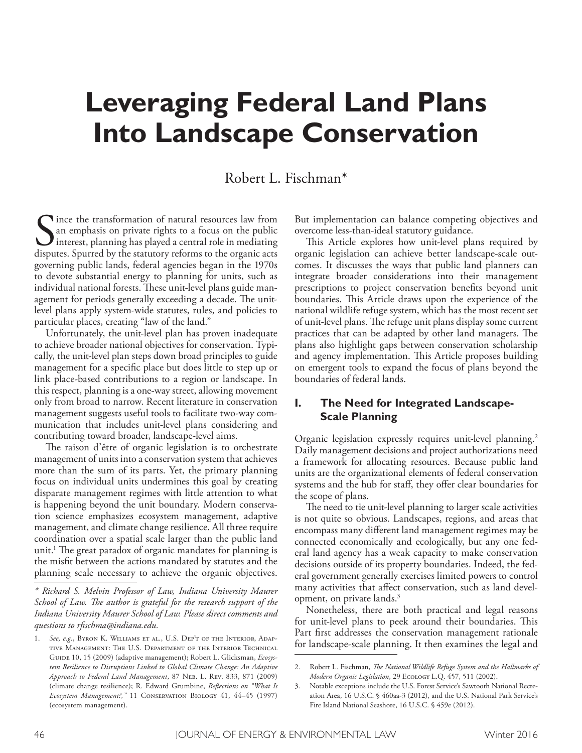# **Leveraging Federal Land Plans Into Landscape Conservation**

# Robert L. Fischman\*

Since the transformation of natural resources law from<br>an emphasis on private rights to a focus on the public<br>interest, planning has played a central role in mediating<br>disputes. Spurred by the statutory reforms to the orga ince the transformation of natural resources law from an emphasis on private rights to a focus on the public interest, planning has played a central role in mediating governing public lands, federal agencies began in the 1970s to devote substantial energy to planning for units, such as individual national forests. These unit-level plans guide management for periods generally exceeding a decade. The unitlevel plans apply system-wide statutes, rules, and policies to particular places, creating "law of the land."

Unfortunately, the unit-level plan has proven inadequate to achieve broader national objectives for conservation. Typically, the unit-level plan steps down broad principles to guide management for a specifc place but does little to step up or link place-based contributions to a region or landscape. In this respect, planning is a one-way street, allowing movement only from broad to narrow. Recent literature in conservation management suggests useful tools to facilitate two-way communication that includes unit-level plans considering and contributing toward broader, landscape-level aims.

The raison d'être of organic legislation is to orchestrate management of units into a conservation system that achieves more than the sum of its parts. Yet, the primary planning focus on individual units undermines this goal by creating disparate management regimes with little attention to what is happening beyond the unit boundary. Modern conservation science emphasizes ecosystem management, adaptive management, and climate change resilience. All three require coordination over a spatial scale larger than the public land unit.<sup>1</sup> The great paradox of organic mandates for planning is the misft between the actions mandated by statutes and the planning scale necessary to achieve the organic objectives.

*\* Richard S. Melvin Professor of Law, Indiana University Maurer School of Law. Te author is grateful for the research support of the Indiana University Maurer School of Law. Please direct comments and questions to rfschma@indiana.edu.*

But implementation can balance competing objectives and overcome less-than-ideal statutory guidance.

This Article explores how unit-level plans required by organic legislation can achieve better landscape-scale outcomes. It discusses the ways that public land planners can integrate broader considerations into their management prescriptions to project conservation benefts beyond unit boundaries. This Article draws upon the experience of the national wildlife refuge system, which has the most recent set of unit-level plans. The refuge unit plans display some current practices that can be adapted by other land managers. The plans also highlight gaps between conservation scholarship and agency implementation. This Article proposes building on emergent tools to expand the focus of plans beyond the boundaries of federal lands.

## **I. The Need for Integrated Landscape-Scale Planning**

Organic legislation expressly requires unit-level planning. 2 Daily management decisions and project authorizations need a framework for allocating resources. Because public land units are the organizational elements of federal conservation systems and the hub for staff, they offer clear boundaries for the scope of plans.

The need to tie unit-level planning to larger scale activities is not quite so obvious. Landscapes, regions, and areas that encompass many diferent land management regimes may be connected economically and ecologically, but any one federal land agency has a weak capacity to make conservation decisions outside of its property boundaries. Indeed, the federal government generally exercises limited powers to control many activities that affect conservation, such as land development, on private lands. 3

Nonetheless, there are both practical and legal reasons for unit-level plans to peek around their boundaries. This Part frst addresses the conservation management rationale for landscape-scale planning. It then examines the legal and

<sup>1.</sup> *See, e.g.*, Byron K. Williams et al., U.S. Dep't of the Interior, Adaptive Management: The U.S. Department of the Interior Technical GUIDE 10, 15 (2009) (adaptive management); Robert L. Glicksman, *Ecosystem Resilience to Disruptions Linked to Global Climate Change: An Adaptive Approach to Federal Land Management*, 87 Neb. L. Rev. 833, 871 (2009) (climate change resilience); R. Edward Grumbine, *Refections on "What Is Ecosystem Management?,"* 11 Conservation Biology 41, 44–45 (1997) (ecosystem management).

<sup>2.</sup> Robert L. Fischman, *Te National Wildlife Refuge System and the Hallmarks of Modern Organic Legislation*, 29 Ecology L.Q. 457, 511 (2002).

<sup>3.</sup> Notable exceptions include the U.S. Forest Service's Sawtooth National Recreation Area, 16 U.S.C. § 460aa-3 (2012), and the U.S. National Park Service's Fire Island National Seashore, 16 U.S.C. § 459e (2012).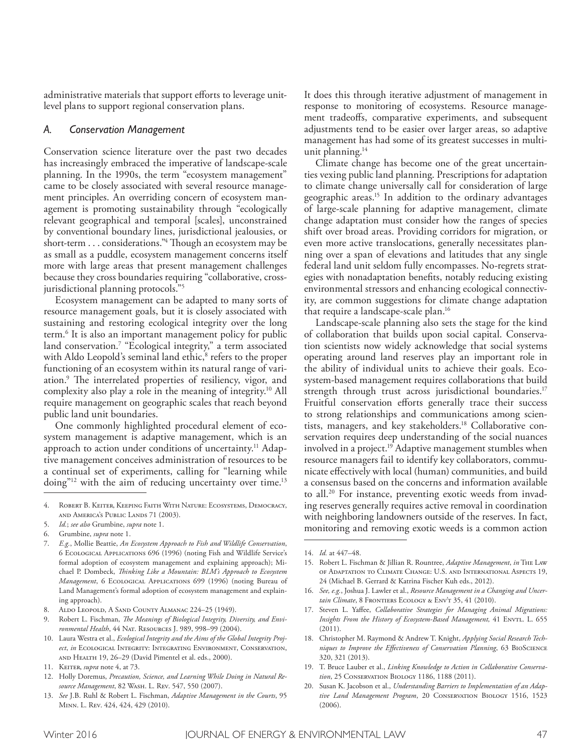administrative materials that support efforts to leverage unitlevel plans to support regional conservation plans.

#### *A. Conservation Management*

Conservation science literature over the past two decades has increasingly embraced the imperative of landscape-scale planning. In the 1990s, the term "ecosystem management" came to be closely associated with several resource management principles. An overriding concern of ecosystem management is promoting sustainability through "ecologically relevant geographical and temporal [scales], unconstrained by conventional boundary lines, jurisdictional jealousies, or short-term . . . considerations."4 Though an ecosystem may be as small as a puddle, ecosystem management concerns itself more with large areas that present management challenges because they cross boundaries requiring "collaborative, crossjurisdictional planning protocols."5

Ecosystem management can be adapted to many sorts of resource management goals, but it is closely associated with sustaining and restoring ecological integrity over the long term. 6 It is also an important management policy for public land conservation.<sup>7</sup> "Ecological integrity," a term associated with Aldo Leopold's seminal land ethic,<sup>8</sup> refers to the proper functioning of an ecosystem within its natural range of variation.<sup>9</sup> The interrelated properties of resiliency, vigor, and complexity also play a role in the meaning of integrity. 10 All require management on geographic scales that reach beyond public land unit boundaries.

One commonly highlighted procedural element of ecosystem management is adaptive management, which is an approach to action under conditions of uncertainty.<sup>11</sup> Adaptive management conceives administration of resources to be a continual set of experiments, calling for "learning while doing"<sup>12</sup> with the aim of reducing uncertainty over time.<sup>13</sup>

It does this through iterative adjustment of management in response to monitoring of ecosystems. Resource management tradeofs, comparative experiments, and subsequent adjustments tend to be easier over larger areas, so adaptive management has had some of its greatest successes in multiunit planning. 14

Climate change has become one of the great uncertainties vexing public land planning. Prescriptions for adaptation to climate change universally call for consideration of large geographic areas. 15 In addition to the ordinary advantages of large-scale planning for adaptive management, climate change adaptation must consider how the ranges of species shift over broad areas. Providing corridors for migration, or even more active translocations, generally necessitates planning over a span of elevations and latitudes that any single federal land unit seldom fully encompasses. No-regrets strategies with nonadaptation benefts, notably reducing existing environmental stressors and enhancing ecological connectivity, are common suggestions for climate change adaptation that require a landscape-scale plan. 16

Landscape-scale planning also sets the stage for the kind of collaboration that builds upon social capital. Conservation scientists now widely acknowledge that social systems operating around land reserves play an important role in the ability of individual units to achieve their goals. Ecosystem-based management requires collaborations that build strength through trust across jurisdictional boundaries. 17 Fruitful conservation efforts generally trace their success to strong relationships and communications among scientists, managers, and key stakeholders. 18 Collaborative conservation requires deep understanding of the social nuances involved in a project. 19 Adaptive management stumbles when resource managers fail to identify key collaborators, communicate efectively with local (human) communities, and build a consensus based on the concerns and information available to all. 20 For instance, preventing exotic weeds from invading reserves generally requires active removal in coordination with neighboring landowners outside of the reserves. In fact, monitoring and removing exotic weeds is a common action

<sup>4.</sup> Robert B. Keiter, Keeping Faith With Nature: Ecosystems, Democracy, and America's Public Lands 71 (2003).

<sup>5.</sup> *Id.*; *see also* Grumbine, *supra* note 1.

<sup>6.</sup> Grumbine, *supra* note 1.

<sup>7.</sup> *E.g.*, Mollie Beattie, *An Ecosystem Approach to Fish and Wildlife Conservation*, 6 Ecological Applications 696 (1996) (noting Fish and Wildlife Service's formal adoption of ecosystem management and explaining approach); Michael P. Dombeck, *Tinking Like a Mountain: BLM's Approach to Ecosystem Management*, 6 Ecological Applications 699 (1996) (noting Bureau of Land Management's formal adoption of ecosystem management and explaining approach).

<sup>8.</sup> ALDO LEOPOLD, A SAND COUNTY ALMANAC 224-25 (1949).

<sup>9.</sup> Robert L. Fischman, *Te Meanings of Biological Integrity, Diversity, and Environmental Health*, 44 Nat. Resources J. 989, 998–99 (2004).

<sup>10.</sup> Laura Westra et al., *Ecological Integrity and the Aims of the Global Integrity Project*, *in* Ecological Integrity: Integrating Environment, Conservation, and Health 19, 26–29 (David Pimentel et al. eds., 2000).

<sup>11.</sup> Keiter, *supra* note 4, at 73.

<sup>12.</sup> Holly Doremus, *Precaution, Science, and Learning While Doing in Natural Resource Management*, 82 Wash. L. Rev. 547, 550 (2007).

<sup>13.</sup> *See* J.B. Ruhl & Robert L. Fischman, *Adaptive Management in the Courts*, 95 Minn. L. Rev. 424, 424, 429 (2010).

<sup>14.</sup> *Id.* at 447–48.

<sup>15.</sup> Robert L. Fischman & Jillian R. Rountree, *Adaptive Management*, *in* The Law of Adaptation to Climate Change: U.S. and International Aspects 19, 24 (Michael B. Gerrard & Katrina Fischer Kuh eds., 2012).

<sup>16.</sup> *See, e.g.*, Joshua J. Lawler et al., *Resource Management in a Changing and Uncertain Climate*, 8 FRONTIERS ECOLOGY & ENVT 35, 41 (2010).

<sup>17.</sup> Steven L. Yafee, *Collaborative Strategies for Managing Animal Migrations: Insights From the History of Ecosystem-Based Management*, 41 ENVTL. L. 655 (2011).

<sup>18.</sup> Christopher M. Raymond & Andrew T. Knight, *Applying Social Research Techniques to Improve the Efectiveness of Conservation Planning*, 63 BioScience 320, 321 (2013).

<sup>19.</sup> T. Bruce Lauber et al., *Linking Knowledge to Action in Collaborative Conservation*, 25 Conservation Biology 1186, 1188 (2011).

<sup>20.</sup> Susan K. Jacobson et al., *Understanding Barriers to Implementation of an Adaptive Land Management Program*, 20 Conservation Biology 1516, 1523 (2006).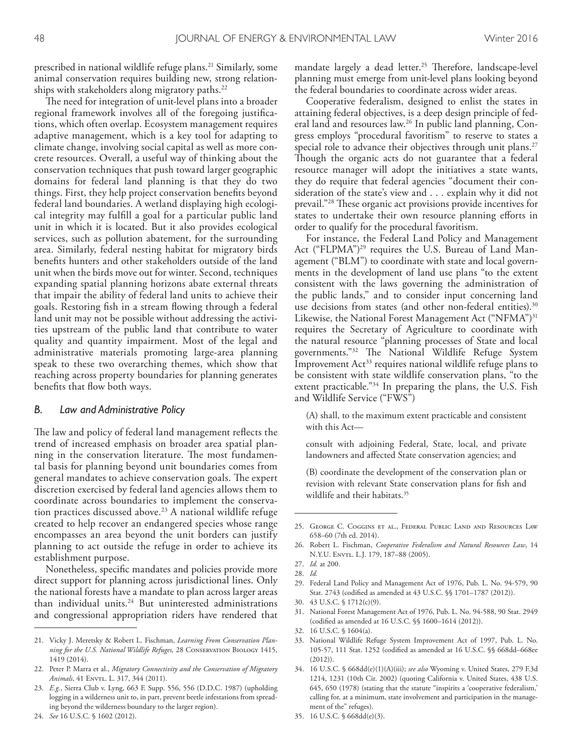prescribed in national wildlife refuge plans. 21 Similarly, some animal conservation requires building new, strong relationships with stakeholders along migratory paths. 22

The need for integration of unit-level plans into a broader regional framework involves all of the foregoing justifcations, which often overlap. Ecosystem management requires adaptive management, which is a key tool for adapting to climate change, involving social capital as well as more concrete resources. Overall, a useful way of thinking about the conservation techniques that push toward larger geographic domains for federal land planning is that they do two things. First, they help project conservation benefts beyond federal land boundaries. A wetland displaying high ecological integrity may fulfll a goal for a particular public land unit in which it is located. But it also provides ecological services, such as pollution abatement, for the surrounding area. Similarly, federal nesting habitat for migratory birds benefts hunters and other stakeholders outside of the land unit when the birds move out for winter. Second, techniques expanding spatial planning horizons abate external threats that impair the ability of federal land units to achieve their goals. Restoring fsh in a stream fowing through a federal land unit may not be possible without addressing the activities upstream of the public land that contribute to water quality and quantity impairment. Most of the legal and administrative materials promoting large-area planning speak to these two overarching themes, which show that reaching across property boundaries for planning generates benefts that fow both ways.

#### *B. Law and Administrative Policy*

The law and policy of federal land management reflects the trend of increased emphasis on broader area spatial planning in the conservation literature. The most fundamental basis for planning beyond unit boundaries comes from general mandates to achieve conservation goals. The expert discretion exercised by federal land agencies allows them to coordinate across boundaries to implement the conservation practices discussed above. 23 A national wildlife refuge created to help recover an endangered species whose range encompasses an area beyond the unit borders can justify planning to act outside the refuge in order to achieve its establishment purpose.

Nonetheless, specifc mandates and policies provide more direct support for planning across jurisdictional lines. Only the national forests have a mandate to plan across larger areas than individual units. 24 But uninterested administrations and congressional appropriation riders have rendered that

24. *See* 16 U.S.C. § 1602 (2012).

mandate largely a dead letter.<sup>25</sup> Therefore, landscape-level planning must emerge from unit-level plans looking beyond the federal boundaries to coordinate across wider areas.

Cooperative federalism, designed to enlist the states in attaining federal objectives, is a deep design principle of federal land and resources law. 26 In public land planning, Congress employs "procedural favoritism" to reserve to states a special role to advance their objectives through unit plans. 27 Though the organic acts do not guarantee that a federal resource manager will adopt the initiatives a state wants, they do require that federal agencies "document their consideration of the state's view and . . . explain why it did not prevail."<sup>28</sup> These organic act provisions provide incentives for states to undertake their own resource planning efforts in order to qualify for the procedural favoritism.

For instance, the Federal Land Policy and Management Act ("FLPMA")<sup>29</sup> requires the U.S. Bureau of Land Management ("BLM") to coordinate with state and local governments in the development of land use plans "to the extent consistent with the laws governing the administration of the public lands," and to consider input concerning land use decisions from states (and other non-federal entities). 30 Likewise, the National Forest Management Act ("NFMA")<sup>31</sup> requires the Secretary of Agriculture to coordinate with the natural resource "planning processes of State and local governments."<sup>32</sup> The National Wildlife Refuge System Improvement Act<sup>33</sup> requires national wildlife refuge plans to be consistent with state wildlife conservation plans, "to the extent practicable."34 In preparing the plans, the U.S. Fish and Wildlife Service ("FWS")

(A) shall, to the maximum extent practicable and consistent with this Act—

consult with adjoining Federal, State, local, and private landowners and afected State conservation agencies; and

(B) coordinate the development of the conservation plan or revision with relevant State conservation plans for fsh and wildlife and their habitats. 35

29. Federal Land Policy and Management Act of 1976, Pub. L. No. 94-579, 90 Stat. 2743 (codifed as amended at 43 U.S.C. §§ 1701–1787 (2012)).

31. National Forest Management Act of 1976, Pub. L. No. 94-588, 90 Stat. 2949 (codifed as amended at 16 U.S.C. §§ 1600–1614 (2012)).

33. National Wildlife Refuge System Improvement Act of 1997, Pub. L. No. 105-57, 111 Stat. 1252 (codifed as amended at 16 U.S.C. §§ 668dd–668ee (2012)).

35. 16 U.S.C. § 668dd(e)(3).

<sup>21.</sup> Vicky J. Meretsky & Robert L. Fischman, *Learning From Conservation Planning for the U.S. National Wildlife Refuges,* 28 Conservation Biology 1415, 1419 (2014).

<sup>22.</sup> Peter P. Marra et al., *Migratory Connectivity and the Conservation of Migratory*  Animals, 41 ENVTL. L. 317, 344 (2011).

<sup>23.</sup> *E.g.*, Sierra Club v. Lyng, 663 F. Supp. 556, 556 (D.D.C. 1987) (upholding logging in a wilderness unit to, in part, prevent beetle infestations from spreading beyond the wilderness boundary to the larger region).

<sup>25.</sup> George C. Coggins et al., Federal Public Land and Resources Law 658–60 (7th ed. 2014).

<sup>26.</sup> Robert L. Fischman, *Cooperative Federalism and Natural Resources Law*, 14 N.Y.U. ENVTL. L.J. 179, 187-88 (2005).

<sup>27.</sup> *Id.* at 200.

<sup>28.</sup> *Id.*

<sup>30.</sup> 43 U.S.C. § 1712(c)(9).

<sup>32.</sup> 16 U.S.C. § 1604(a).

<sup>34.</sup> 16 U.S.C. § 668dd(e)(1)(A)(iii); *see also* Wyoming v. United States, 279 F.3d 1214, 1231 (10th Cir. 2002) (quoting California v. United States, 438 U.S. 645, 650 (1978) (stating that the statute "inspirits a 'cooperative federalism,' calling for, at a minimum, state involvement and participation in the management of the" refuges).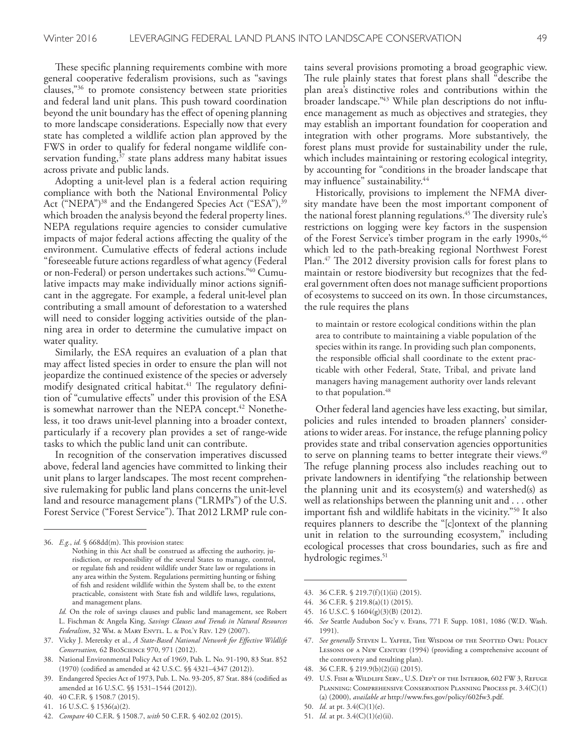These specific planning requirements combine with more general cooperative federalism provisions, such as "savings clauses,"36 to promote consistency between state priorities and federal land unit plans. This push toward coordination beyond the unit boundary has the efect of opening planning to more landscape considerations. Especially now that every state has completed a wildlife action plan approved by the FWS in order to qualify for federal nongame wildlife conservation funding,<sup>37</sup> state plans address many habitat issues across private and public lands.

Adopting a unit-level plan is a federal action requiring compliance with both the National Environmental Policy Act ("NEPA")<sup>38</sup> and the Endangered Species Act ("ESA"),<sup>39</sup> which broaden the analysis beyond the federal property lines. NEPA regulations require agencies to consider cumulative impacts of major federal actions afecting the quality of the environment. Cumulative efects of federal actions include "foreseeable future actions regardless of what agency (Federal or non-Federal) or person undertakes such actions." 40 Cumulative impacts may make individually minor actions signifcant in the aggregate. For example, a federal unit-level plan contributing a small amount of deforestation to a watershed will need to consider logging activities outside of the planning area in order to determine the cumulative impact on water quality.

Similarly, the ESA requires an evaluation of a plan that may afect listed species in order to ensure the plan will not jeopardize the continued existence of the species or adversely modify designated critical habitat.<sup>41</sup> The regulatory definition of "cumulative efects" under this provision of the ESA is somewhat narrower than the NEPA concept. 42 Nonetheless, it too draws unit-level planning into a broader context, particularly if a recovery plan provides a set of range-wide tasks to which the public land unit can contribute.

In recognition of the conservation imperatives discussed above, federal land agencies have committed to linking their unit plans to larger landscapes. The most recent comprehensive rulemaking for public land plans concerns the unit-level land and resource management plans ("LRMPs") of the U.S. Forest Service ("Forest Service"). That 2012 LRMP rule con-

- *Id.* On the role of savings clauses and public land management, see Robert L. Fischman & Angela King, *Savings Clauses and Trends in Natural Resources Federalism*, 32 WM. & MARY ENVTL. L. & POL'Y REV. 129 (2007).
- 37. Vicky J. Meretsky et al., *A State-Based National Network for Efective Wildlife Conservation,* 62 BioScience 970, 971 (2012).
- 38. National Environmental Policy Act of 1969, Pub. L. No. 91-190, 83 Stat. 852 (1970) (codifed as amended at 42 U.S.C. §§ 4321–4347 (2012)).
- 39. Endangered Species Act of 1973, Pub. L. No. 93-205, 87 Stat. 884 (codifed as amended at 16 U.S.C. §§ 1531–1544 (2012)).
- 40. 40 C.F.R. § 1508.7 (2015).
- 41. 16 U.S.C. § 1536(a)(2).
- 42. *Compare* 40 C.F.R. § 1508.7, *with* 50 C.F.R. § 402.02 (2015).

tains several provisions promoting a broad geographic view. The rule plainly states that forest plans shall "describe the plan area's distinctive roles and contributions within the broader landscape." 43 While plan descriptions do not infuence management as much as objectives and strategies, they may establish an important foundation for cooperation and integration with other programs. More substantively, the forest plans must provide for sustainability under the rule, which includes maintaining or restoring ecological integrity, by accounting for "conditions in the broader landscape that may infuence" sustainability. 44

Historically, provisions to implement the NFMA diversity mandate have been the most important component of the national forest planning regulations.<sup>45</sup> The diversity rule's restrictions on logging were key factors in the suspension of the Forest Service's timber program in the early 1990s, <sup>46</sup> which led to the path-breaking regional Northwest Forest Plan.<sup>47</sup> The 2012 diversity provision calls for forest plans to maintain or restore biodiversity but recognizes that the federal government often does not manage sufficient proportions of ecosystems to succeed on its own. In those circumstances, the rule requires the plans

to maintain or restore ecological conditions within the plan area to contribute to maintaining a viable population of the species within its range. In providing such plan components, the responsible official shall coordinate to the extent practicable with other Federal, State, Tribal, and private land managers having management authority over lands relevant to that population. 48

Other federal land agencies have less exacting, but similar, policies and rules intended to broaden planners' considerations to wider areas. For instance, the refuge planning policy provides state and tribal conservation agencies opportunities to serve on planning teams to better integrate their views. 49 The refuge planning process also includes reaching out to private landowners in identifying "the relationship between the planning unit and its ecosystem(s) and watershed(s) as well as relationships between the planning unit and . . . other important fsh and wildlife habitats in the vicinity."50 It also requires planners to describe the "[c]ontext of the planning unit in relation to the surrounding ecosystem," including ecological processes that cross boundaries, such as fre and hydrologic regimes. 51

- 43. 36 C.F.R. § 219.7(f)(1)(ii) (2015).
- 44. 36 C.F.R. § 219.8(a)(1) (2015).
- 45. 16 U.S.C. § 1604(g)(3)(B) (2012).
- 46. *See* Seattle Audubon Soc'y v. Evans, 771 F. Supp. 1081, 1086 (W.D. Wash. 1991).
- 47. See generally STEVEN L. YAFFEE, THE WISDOM OF THE SPOTTED OWL: POLICY LESSONS OF A NEW CENTURY (1994) (providing a comprehensive account of the controversy and resulting plan).
- 48. 36 C.F.R. § 219.9(b)(2)(ii) (2015).
- 49. U.S. Fish & Wildlife Serv., U.S. Dep't of the Interior, 602 FW 3, Refuge Planning: Comprehensive Conservation Planning Process pt. 3.4(C)(1) (a) (2000), *available at* http://www.fws.gov/policy/602fw3.pdf.
- 50. *Id.* at pt. 3.4(C)(1)(e).
- 51. *Id.* at pt. 3.4(C)(1)(e)(ii).

<sup>36.</sup> *E.g., id.* § 668dd(m). This provision states:

Nothing in this Act shall be construed as afecting the authority, jurisdiction, or responsibility of the several States to manage, control, or regulate fsh and resident wildlife under State law or regulations in any area within the System. Regulations permitting hunting or fshing of fsh and resident wildlife within the System shall be, to the extent practicable, consistent with State fsh and wildlife laws, regulations, and management plans.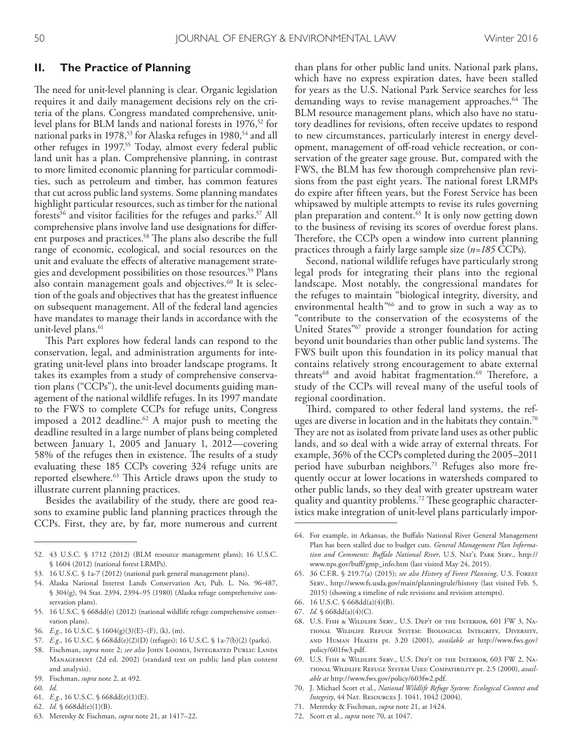### **II. The Practice of Planning**

The need for unit-level planning is clear. Organic legislation requires it and daily management decisions rely on the criteria of the plans. Congress mandated comprehensive, unitlevel plans for BLM lands and national forests in 1976,52 for national parks in 1978,<sup>53</sup> for Alaska refuges in 1980,<sup>54</sup> and all other refuges in 1997. 55 Today, almost every federal public land unit has a plan. Comprehensive planning, in contrast to more limited economic planning for particular commodities, such as petroleum and timber, has common features that cut across public land systems. Some planning mandates highlight particular resources, such as timber for the national forests<sup>56</sup> and visitor facilities for the refuges and parks.<sup>57</sup> All comprehensive plans involve land use designations for diferent purposes and practices.<sup>58</sup> The plans also describe the full range of economic, ecological, and social resources on the unit and evaluate the efects of alterative management strategies and development possibilities on those resources. 59 Plans also contain management goals and objectives. 60 It is selection of the goals and objectives that has the greatest infuence on subsequent management. All of the federal land agencies have mandates to manage their lands in accordance with the unit-level plans. 61

This Part explores how federal lands can respond to the conservation, legal, and administration arguments for integrating unit-level plans into broader landscape programs. It takes its examples from a study of comprehensive conservation plans ("CCPs"), the unit-level documents guiding management of the national wildlife refuges. In its 1997 mandate to the FWS to complete CCPs for refuge units, Congress imposed a 2012 deadline. 62 A major push to meeting the deadline resulted in a large number of plans being completed between January 1, 2005 and January 1, 2012—covering 58% of the refuges then in existence. The results of a study evaluating these 185 CCPs covering 324 refuge units are reported elsewhere. <sup>63</sup> Tis Article draws upon the study to illustrate current planning practices.

Besides the availability of the study, there are good reasons to examine public land planning practices through the CCPs. First, they are, by far, more numerous and current

- 60. *Id.*
- 61. *E.g.*, 16 U.S.C. § 668dd(e)(1)(E).
- 62. *Id.* § 668dd(e)(1)(B).
- 63. Meretsky & Fischman, *supra* note 21, at 1417–22.

than plans for other public land units. National park plans, which have no express expiration dates, have been stalled for years as the U.S. National Park Service searches for less demanding ways to revise management approaches.<sup>64</sup> The BLM resource management plans, which also have no statutory deadlines for revisions, often receive updates to respond to new circumstances, particularly interest in energy development, management of off-road vehicle recreation, or conservation of the greater sage grouse. But, compared with the FWS, the BLM has few thorough comprehensive plan revisions from the past eight years. The national forest LRMPs do expire after ffteen years, but the Forest Service has been whipsawed by multiple attempts to revise its rules governing plan preparation and content. 65 It is only now getting down to the business of revising its scores of overdue forest plans. Therefore, the CCPs open a window into current planning practices through a fairly large sample size (*n=185* CCPs).

Second, national wildlife refuges have particularly strong legal prods for integrating their plans into the regional landscape. Most notably, the congressional mandates for the refuges to maintain "biological integrity, diversity, and environmental health"66 and to grow in such a way as to "contribute to the conservation of the ecosystems of the United States"<sup>67</sup> provide a stronger foundation for acting beyond unit boundaries than other public land systems. The FWS built upon this foundation in its policy manual that contains relatively strong encouragement to abate external threats<sup>68</sup> and avoid habitat fragmentation.<sup>69</sup> Therefore, a study of the CCPs will reveal many of the useful tools of regional coordination.

Third, compared to other federal land systems, the refuges are diverse in location and in the habitats they contain. $^{70}$ They are not as isolated from private land uses as other public lands, and so deal with a wide array of external threats. For example, 36% of the CCPs completed during the 2005–2011 period have suburban neighbors. 71 Refuges also more frequently occur at lower locations in watersheds compared to other public lands, so they deal with greater upstream water quality and quantity problems.<sup>72</sup> These geographic characteristics make integration of unit-level plans particularly impor-

- 67. *Id.* § 668dd(a)(4)(C).
- 68. U.S. Fish & Wildlife Serv., U.S. Dep't of the Interior, 601 FW 3, National Wildlife Refuge System: Biological Integrity, Diversity, and Human Health pt. 3.20 (2001), *available at* http://www.fws.gov/ policy/601fw3.pdf.
- 69. U.S. Fish & Wildlife Serv., U.S. Dep't of the Interior, 603 FW 2, National Wildlife Refuge System Uses: Compatibility pt. 2.5 (2000), *available at* http://www.fws.gov/policy/603fw2.pdf.
- 70. J. Michael Scott et al., *National Wildlife Refuge System: Ecological Context and Integrity*, 44 Nat. Resources J. 1041, 1042 (2004).
- 71. Meretsky & Fischman, *supra* note 21, at 1424.
- 72. Scott et al., *supra* note 70, at 1047.

<sup>52.</sup> 43 U.S.C. § 1712 (2012) (BLM resource management plans); 16 U.S.C. § 1604 (2012) (national forest LRMPs).

<sup>53.</sup> 16 U.S.C. § 1a-7 (2012) (national park general management plans).

<sup>54.</sup> Alaska National Interest Lands Conservation Act, Pub. L. No. 96-487, § 304(g), 94 Stat. 2394, 2394–95 (1980) (Alaska refuge comprehensive conservation plans).

<sup>55.</sup> 16 U.S.C. § 668dd(e) (2012) (national wildlife refuge comprehensive conservation plans).

<sup>56.</sup> *E.g.*, 16 U.S.C. § 1604(g)(3)(E)–(F), (k), (m).

<sup>57.</sup> *E.g.*, 16 U.S.C. § 668dd(e)(2)(D) (refuges); 16 U.S.C. § 1a-7(b)(2) (parks).

<sup>58.</sup> Fischman, *supra* note 2; *see also* John Loomis, Integrated Public Lands Management (2d ed. 2002) (standard text on public land plan content and analysis).

<sup>59.</sup> Fischman, *supra* note 2, at 492.

<sup>64.</sup> For example, in Arkansas, the Bufalo National River General Management Plan has been stalled due to budget cuts. *General Management Plan Information and Comments: Bufalo National River*, U.S. Nat'l Park Serv., http:// www.nps.gov/buf/gmp\_info.htm (last visited May 24, 2015).

<sup>65.</sup> 36 C.F.R. § 219.7(a) (2015); *see also History of Forest Planning*, U.S. Forest Serv., http://www.fs.usda.gov/main/planningrule/history (last visited Feb. 5, 2015) (showing a timeline of rule revisions and revision attempts).

<sup>66.</sup> 16 U.S.C. § 668dd(a)(4)(B).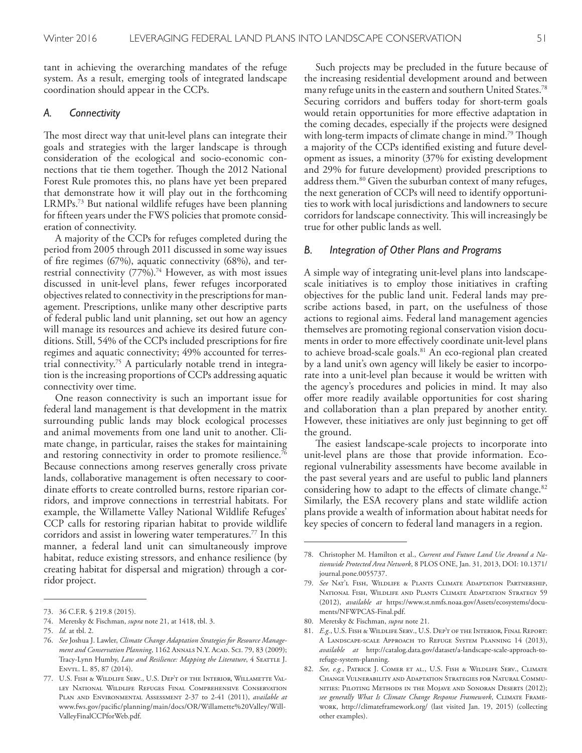tant in achieving the overarching mandates of the refuge system. As a result, emerging tools of integrated landscape coordination should appear in the CCPs.

#### *A. Connectivity*

The most direct way that unit-level plans can integrate their goals and strategies with the larger landscape is through consideration of the ecological and socio-economic connections that tie them together. Though the 2012 National Forest Rule promotes this, no plans have yet been prepared that demonstrate how it will play out in the forthcoming LRMPs. 73 But national wildlife refuges have been planning for ffteen years under the FWS policies that promote consideration of connectivity.

A majority of the CCPs for refuges completed during the period from 2005 through 2011 discussed in some way issues of fre regimes (67%), aquatic connectivity (68%), and terrestrial connectivity (77%). 74 However, as with most issues discussed in unit-level plans, fewer refuges incorporated objectives related to connectivity in the prescriptions for management. Prescriptions, unlike many other descriptive parts of federal public land unit planning, set out how an agency will manage its resources and achieve its desired future conditions. Still, 54% of the CCPs included prescriptions for fre regimes and aquatic connectivity; 49% accounted for terrestrial connectivity. 75 A particularly notable trend in integration is the increasing proportions of CCPs addressing aquatic connectivity over time.

One reason connectivity is such an important issue for federal land management is that development in the matrix surrounding public lands may block ecological processes and animal movements from one land unit to another. Climate change, in particular, raises the stakes for maintaining and restoring connectivity in order to promote resilience.<sup>76</sup> Because connections among reserves generally cross private lands, collaborative management is often necessary to coordinate efforts to create controlled burns, restore riparian corridors, and improve connections in terrestrial habitats. For example, the Willamette Valley National Wildlife Refuges' CCP calls for restoring riparian habitat to provide wildlife corridors and assist in lowering water temperatures. 77 In this manner, a federal land unit can simultaneously improve habitat, reduce existing stressors, and enhance resilience (by creating habitat for dispersal and migration) through a corridor project.

Such projects may be precluded in the future because of the increasing residential development around and between many refuge units in the eastern and southern United States. 78 Securing corridors and bufers today for short-term goals would retain opportunities for more efective adaptation in the coming decades, especially if the projects were designed with long-term impacts of climate change in mind.<sup>79</sup> Though a majority of the CCPs identifed existing and future development as issues, a minority (37% for existing development and 29% for future development) provided prescriptions to address them. 80 Given the suburban context of many refuges, the next generation of CCPs will need to identify opportunities to work with local jurisdictions and landowners to secure corridors for landscape connectivity. This will increasingly be true for other public lands as well.

#### *B. Integration of Other Plans and Programs*

A simple way of integrating unit-level plans into landscapescale initiatives is to employ those initiatives in crafting objectives for the public land unit. Federal lands may prescribe actions based, in part, on the usefulness of those actions to regional aims. Federal land management agencies themselves are promoting regional conservation vision documents in order to more efectively coordinate unit-level plans to achieve broad-scale goals. 81 An eco-regional plan created by a land unit's own agency will likely be easier to incorporate into a unit-level plan because it would be written with the agency's procedures and policies in mind. It may also ofer more readily available opportunities for cost sharing and collaboration than a plan prepared by another entity. However, these initiatives are only just beginning to get of the ground.

The easiest landscape-scale projects to incorporate into unit-level plans are those that provide information. Ecoregional vulnerability assessments have become available in the past several years and are useful to public land planners considering how to adapt to the effects of climate change.<sup>82</sup> Similarly, the ESA recovery plans and state wildlife action plans provide a wealth of information about habitat needs for key species of concern to federal land managers in a region.

<sup>73.</sup> 36 C.F.R. § 219.8 (2015).

<sup>74.</sup> Meretsky & Fischman, *supra* note 21, at 1418, tbl. 3.

<sup>75.</sup> *Id.* at tbl. 2.

<sup>76.</sup> *See* Joshua J. Lawler, *Climate Change Adaptation Strategies for Resource Manage*ment and Conservation Planning, 1162 ANNALS N.Y. ACAD. Sci. 79, 83 (2009); Tracy-Lynn Humby, *Law and Resilience: Mapping the Literature*, 4 SEATTLE J. Envtl. L. 85, 87 (2014).

<sup>77.</sup> U.S. Fish & Wildlife Serv., U.S. Dep't of the Interior, Willamette Valley National Wildlife Refuges Final Comprehensive Conservation Plan and Environmental Assessment 2-37 to 2-41 (2011), *available at* www.fws.gov/pacifc/planning/main/docs/OR/Willamette%20Valley/Will-ValleyFinalCCPforWeb.pdf.

<sup>78.</sup> Christopher M. Hamilton et al., *Current and Future Land Use Around a Nationwide Protected Area Network*, 8 PLOS ONE, Jan. 31, 2013, DOI: 10.1371/ journal.pone.0055737.

<sup>79.</sup> *See* Nat'l Fish, Wildlife & Plants Climate Adaptation Partnership, National Fish, Wildlife and Plants Climate Adaptation Strategy 59 (2012), *available at* https://www.st.nmfs.noaa.gov/Assets/ecosystems/documents/NFWPCAS-Final.pdf.

<sup>80.</sup> Meretsky & Fischman, *supra* note 21.

<sup>81.</sup> *E.g.*, U.S. Fish & Wildlife Serv., U.S. Dep't of the Interior, Final Report: A Landscape-scale Approach to Refuge System Planning 14 (2013), *available at* http://catalog.data.gov/dataset/a-landscape-scale-approach-torefuge-system-planning.

<sup>82.</sup> *See, e.g.*, Patrick J. Comer et al., U.S. Fish & Wildlife Serv., Climate Change Vulnerability and Adaptation Strategies for Natural Communities: Piloting Methods in the Mojave and Sonoran Deserts (2012); *see generally What Is Climate Change Response Framework*, Climate Framework, http://climateframework.org/ (last visited Jan. 19, 2015) (collecting other examples).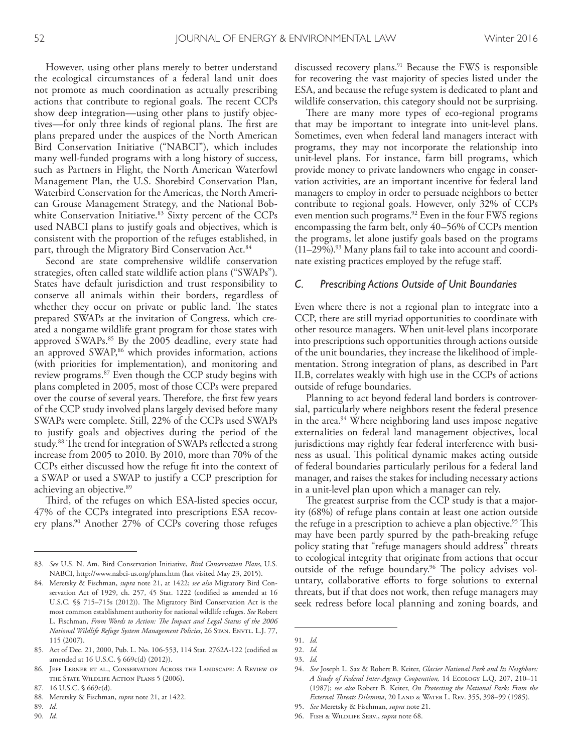However, using other plans merely to better understand the ecological circumstances of a federal land unit does not promote as much coordination as actually prescribing actions that contribute to regional goals. The recent CCPs show deep integration—using other plans to justify objectives—for only three kinds of regional plans. The first are plans prepared under the auspices of the North American Bird Conservation Initiative ("NABCI"), which includes many well-funded programs with a long history of success, such as Partners in Flight, the North American Waterfowl Management Plan, the U.S. Shorebird Conservation Plan, Waterbird Conservation for the Americas, the North American Grouse Management Strategy, and the National Bobwhite Conservation Initiative. 83 Sixty percent of the CCPs used NABCI plans to justify goals and objectives, which is consistent with the proportion of the refuges established, in part, through the Migratory Bird Conservation Act. 84

Second are state comprehensive wildlife conservation strategies, often called state wildlife action plans ("SWAPs"). States have default jurisdiction and trust responsibility to conserve all animals within their borders, regardless of whether they occur on private or public land. The states prepared SWAPs at the invitation of Congress, which created a nongame wildlife grant program for those states with approved SWAPs. 85 By the 2005 deadline, every state had an approved SWAP,<sup>86</sup> which provides information, actions (with priorities for implementation), and monitoring and review programs. 87 Even though the CCP study begins with plans completed in 2005, most of those CCPs were prepared over the course of several years. Therefore, the first few years of the CCP study involved plans largely devised before many SWAPs were complete. Still, 22% of the CCPs used SWAPs to justify goals and objectives during the period of the study.<sup>88</sup> The trend for integration of SWAPs reflected a strong increase from 2005 to 2010. By 2010, more than 70% of the CCPs either discussed how the refuge ft into the context of a SWAP or used a SWAP to justify a CCP prescription for achieving an objective. 89

Third, of the refuges on which ESA-listed species occur, 47% of the CCPs integrated into prescriptions ESA recovery plans. 90 Another 27% of CCPs covering those refuges

- 88. Meretsky & Fischman, *supra* note 21, at 1422.
- 89. *Id.*
- 90. *Id.*

discussed recovery plans. 91 Because the FWS is responsible for recovering the vast majority of species listed under the ESA, and because the refuge system is dedicated to plant and wildlife conservation, this category should not be surprising.

There are many more types of eco-regional programs that may be important to integrate into unit-level plans. Sometimes, even when federal land managers interact with programs, they may not incorporate the relationship into unit-level plans. For instance, farm bill programs, which provide money to private landowners who engage in conservation activities, are an important incentive for federal land managers to employ in order to persuade neighbors to better contribute to regional goals. However, only 32% of CCPs even mention such programs. 92 Even in the four FWS regions encompassing the farm belt, only 40–56% of CCPs mention the programs, let alone justify goals based on the programs (11–29%). 93 Many plans fail to take into account and coordinate existing practices employed by the refuge staf.

#### *C. Prescribing Actions Outside of Unit Boundaries*

Even where there is not a regional plan to integrate into a CCP, there are still myriad opportunities to coordinate with other resource managers. When unit-level plans incorporate into prescriptions such opportunities through actions outside of the unit boundaries, they increase the likelihood of implementation. Strong integration of plans, as described in Part II.B, correlates weakly with high use in the CCPs of actions outside of refuge boundaries.

Planning to act beyond federal land borders is controversial, particularly where neighbors resent the federal presence in the area. 94 Where neighboring land uses impose negative externalities on federal land management objectives, local jurisdictions may rightly fear federal interference with business as usual. This political dynamic makes acting outside of federal boundaries particularly perilous for a federal land manager, and raises the stakes for including necessary actions in a unit-level plan upon which a manager can rely.

The greatest surprise from the CCP study is that a majority (68%) of refuge plans contain at least one action outside the refuge in a prescription to achieve a plan objective.<sup>95</sup> This may have been partly spurred by the path-breaking refuge policy stating that "refuge managers should address" threats to ecological integrity that originate from actions that occur outside of the refuge boundary.<sup>96</sup> The policy advises voluntary, collaborative efforts to forge solutions to external threats, but if that does not work, then refuge managers may seek redress before local planning and zoning boards, and

96. Fish & Wildlife Serv., *supra* note 68.

<sup>83.</sup> *See* U.S. N. Am. Bird Conservation Initiative, *Bird Conservation Plans*, U.S. NABCI, http://www.nabci-us.org/plans.htm (last visited May 23, 2015).

<sup>84.</sup> Meretsky & Fischman, *supra* note 21, at 1422; *see also* Migratory Bird Conservation Act of 1929, ch. 257, 45 Stat. 1222 (codifed as amended at 16 U.S.C. §§ 715-715s (2012)). The Migratory Bird Conservation Act is the most common establishment authority for national wildlife refuges. *See* Robert L. Fischman, *From Words to Action: Te Impact and Legal Status of the 2006 National Wildlife Refuge System Management Policies*, 26 STAN. ENVTL. L.J. 77, 115 (2007).

<sup>85.</sup> Act of Dec. 21, 2000, Pub. L. No. 106-553, 114 Stat. 2762A-122 (codifed as amended at 16 U.S.C. § 669c(d) (2012)).

<sup>86.</sup> Jeff Lerner et al., Conservation Across the Landscape: A Review of the State Wildlife Action Plans 5 (2006).

<sup>87. 16</sup> U.S.C. § 669c(d).

<sup>91.</sup> *Id.*

<sup>92.</sup> *Id.*

<sup>93.</sup> *Id.*

<sup>94.</sup> *See* Joseph L. Sax & Robert B. Keiter, *Glacier National Park and Its Neighbors: A Study of Federal Inter-Agency Cooperation,* 14 Ecology L.Q. 207, 210–11 (1987); *see also* Robert B. Keiter, *On Protecting the National Parks From the External Treats Dilemma*, 20 Land & Water L. Rev. 355, 398–99 (1985).

<sup>95.</sup> *See* Meretsky & Fischman, *supra* note 21.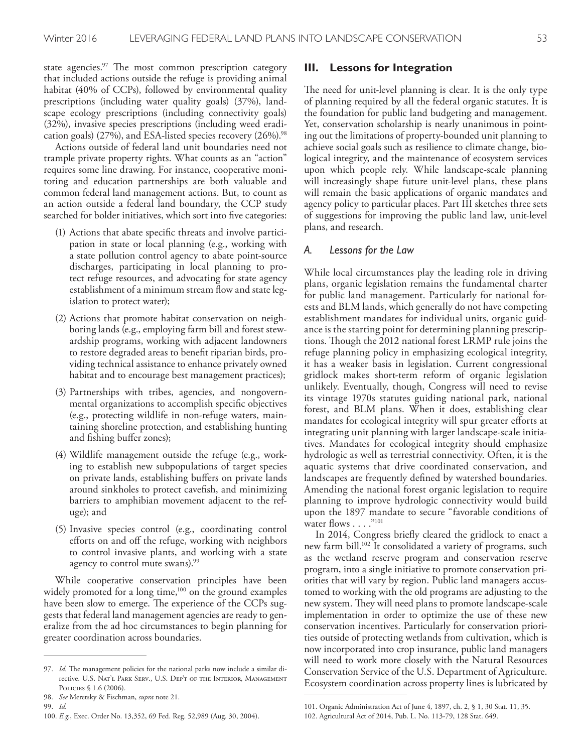state agencies.<sup>97</sup> The most common prescription category that included actions outside the refuge is providing animal habitat (40% of CCPs), followed by environmental quality prescriptions (including water quality goals) (37%), landscape ecology prescriptions (including connectivity goals) (32%), invasive species prescriptions (including weed eradication goals) (27%), and ESA-listed species recovery (26%). 98

Actions outside of federal land unit boundaries need not trample private property rights. What counts as an "action" requires some line drawing. For instance, cooperative monitoring and education partnerships are both valuable and common federal land management actions. But, to count as an action outside a federal land boundary, the CCP study searched for bolder initiatives, which sort into five categories:

- (1) Actions that abate specifc threats and involve participation in state or local planning (e.g., working with a state pollution control agency to abate point-source discharges, participating in local planning to protect refuge resources, and advocating for state agency establishment of a minimum stream fow and state legislation to protect water);
- (2) Actions that promote habitat conservation on neighboring lands (e.g., employing farm bill and forest stewardship programs, working with adjacent landowners to restore degraded areas to beneft riparian birds, providing technical assistance to enhance privately owned habitat and to encourage best management practices);
- (3) Partnerships with tribes, agencies, and nongovernmental organizations to accomplish specifc objectives (e.g., protecting wildlife in non-refuge waters, maintaining shoreline protection, and establishing hunting and fshing bufer zones);
- (4) Wildlife management outside the refuge (e.g., working to establish new subpopulations of target species on private lands, establishing bufers on private lands around sinkholes to protect cavefsh, and minimizing barriers to amphibian movement adjacent to the refuge); and
- (5) Invasive species control (e.g., coordinating control efforts on and off the refuge, working with neighbors to control invasive plants, and working with a state agency to control mute swans). 99

While cooperative conservation principles have been widely promoted for a long time,<sup>100</sup> on the ground examples have been slow to emerge. The experience of the CCPs suggests that federal land management agencies are ready to generalize from the ad hoc circumstances to begin planning for greater coordination across boundaries.

99. *Id.*

#### **III. Lessons for Integration**

The need for unit-level planning is clear. It is the only type of planning required by all the federal organic statutes. It is the foundation for public land budgeting and management. Yet, conservation scholarship is nearly unanimous in pointing out the limitations of property-bounded unit planning to achieve social goals such as resilience to climate change, biological integrity, and the maintenance of ecosystem services upon which people rely. While landscape-scale planning will increasingly shape future unit-level plans, these plans will remain the basic applications of organic mandates and agency policy to particular places. Part III sketches three sets of suggestions for improving the public land law, unit-level plans, and research.

#### *A. Lessons for the Law*

While local circumstances play the leading role in driving plans, organic legislation remains the fundamental charter for public land management. Particularly for national forests and BLM lands, which generally do not have competing establishment mandates for individual units, organic guidance is the starting point for determining planning prescriptions. Though the 2012 national forest LRMP rule joins the refuge planning policy in emphasizing ecological integrity, it has a weaker basis in legislation. Current congressional gridlock makes short-term reform of organic legislation unlikely. Eventually, though, Congress will need to revise its vintage 1970s statutes guiding national park, national forest, and BLM plans. When it does, establishing clear mandates for ecological integrity will spur greater eforts at integrating unit planning with larger landscape-scale initiatives. Mandates for ecological integrity should emphasize hydrologic as well as terrestrial connectivity. Often, it is the aquatic systems that drive coordinated conservation, and landscapes are frequently defned by watershed boundaries. Amending the national forest organic legislation to require planning to improve hydrologic connectivity would build upon the 1897 mandate to secure "favorable conditions of water flows  $\dots$ ."101

In 2014, Congress briefy cleared the gridlock to enact a new farm bill. 102 It consolidated a variety of programs, such as the wetland reserve program and conservation reserve program, into a single initiative to promote conservation priorities that will vary by region. Public land managers accustomed to working with the old programs are adjusting to the new system. They will need plans to promote landscape-scale implementation in order to optimize the use of these new conservation incentives. Particularly for conservation priorities outside of protecting wetlands from cultivation, which is now incorporated into crop insurance, public land managers will need to work more closely with the Natural Resources Conservation Service of the U.S. Department of Agriculture. Ecosystem coordination across property lines is lubricated by

<sup>97.</sup> Id. The management policies for the national parks now include a similar directive. U.S. Nat'l Park Serv., U.S. Dep't of the Interior, Management Policies § 1.6 (2006).

<sup>98.</sup> *See* Meretsky & Fischman, *supra* note 21.

<sup>100.</sup> *E.g.*, Exec. Order No. 13,352, 69 Fed. Reg. 52,989 (Aug. 30, 2004).

<sup>101.</sup> Organic Administration Act of June 4, 1897, ch. 2, § 1, 30 Stat. 11, 35. 102. Agricultural Act of 2014, Pub. L. No. 113-79, 128 Stat. 649.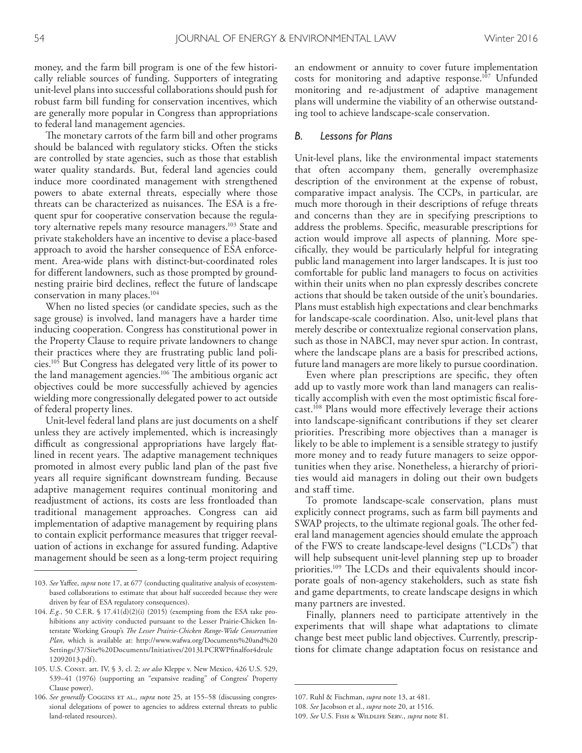money, and the farm bill program is one of the few historically reliable sources of funding. Supporters of integrating unit-level plans into successful collaborations should push for robust farm bill funding for conservation incentives, which are generally more popular in Congress than appropriations to federal land management agencies.

The monetary carrots of the farm bill and other programs should be balanced with regulatory sticks. Often the sticks are controlled by state agencies, such as those that establish water quality standards. But, federal land agencies could induce more coordinated management with strengthened powers to abate external threats, especially where those threats can be characterized as nuisances. The ESA is a frequent spur for cooperative conservation because the regulatory alternative repels many resource managers. 103 State and private stakeholders have an incentive to devise a place-based approach to avoid the harsher consequence of ESA enforcement. Area-wide plans with distinct-but-coordinated roles for diferent landowners, such as those prompted by groundnesting prairie bird declines, refect the future of landscape conservation in many places. 104

When no listed species (or candidate species, such as the sage grouse) is involved, land managers have a harder time inducing cooperation. Congress has constitutional power in the Property Clause to require private landowners to change their practices where they are frustrating public land policies. 105 But Congress has delegated very little of its power to the land management agencies.<sup>106</sup> The ambitious organic act objectives could be more successfully achieved by agencies wielding more congressionally delegated power to act outside of federal property lines.

Unit-level federal land plans are just documents on a shelf unless they are actively implemented, which is increasingly difficult as congressional appropriations have largely flatlined in recent years. The adaptive management techniques promoted in almost every public land plan of the past fve years all require signifcant downstream funding. Because adaptive management requires continual monitoring and readjustment of actions, its costs are less frontloaded than traditional management approaches. Congress can aid implementation of adaptive management by requiring plans to contain explicit performance measures that trigger reevaluation of actions in exchange for assured funding. Adaptive management should be seen as a long-term project requiring

an endowment or annuity to cover future implementation costs for monitoring and adaptive response. 107 Unfunded monitoring and re-adjustment of adaptive management plans will undermine the viability of an otherwise outstanding tool to achieve landscape-scale conservation.

#### *B. Lessons for Plans*

Unit-level plans, like the environmental impact statements that often accompany them, generally overemphasize description of the environment at the expense of robust, comparative impact analysis. The CCPs, in particular, are much more thorough in their descriptions of refuge threats and concerns than they are in specifying prescriptions to address the problems. Specifc, measurable prescriptions for action would improve all aspects of planning. More specifcally, they would be particularly helpful for integrating public land management into larger landscapes. It is just too comfortable for public land managers to focus on activities within their units when no plan expressly describes concrete actions that should be taken outside of the unit's boundaries. Plans must establish high expectations and clear benchmarks for landscape-scale coordination. Also, unit-level plans that merely describe or contextualize regional conservation plans, such as those in NABCI, may never spur action. In contrast, where the landscape plans are a basis for prescribed actions, future land managers are more likely to pursue coordination.

Even where plan prescriptions are specifc, they often add up to vastly more work than land managers can realistically accomplish with even the most optimistic fscal forecast. 108 Plans would more efectively leverage their actions into landscape-signifcant contributions if they set clearer priorities. Prescribing more objectives than a manager is likely to be able to implement is a sensible strategy to justify more money and to ready future managers to seize opportunities when they arise. Nonetheless, a hierarchy of priorities would aid managers in doling out their own budgets and staff time.

To promote landscape-scale conservation, plans must explicitly connect programs, such as farm bill payments and SWAP projects, to the ultimate regional goals. The other federal land management agencies should emulate the approach of the FWS to create landscape-level designs ("LCDs") that will help subsequent unit-level planning step up to broader priorities.<sup>109</sup> The LCDs and their equivalents should incorporate goals of non-agency stakeholders, such as state fsh and game departments, to create landscape designs in which many partners are invested.

Finally, planners need to participate attentively in the experiments that will shape what adaptations to climate change best meet public land objectives. Currently, prescriptions for climate change adaptation focus on resistance and

<sup>103.</sup> *See* Yafee, *supra* note 17, at 677 (conducting qualitative analysis of ecosystembased collaborations to estimate that about half succeeded because they were driven by fear of ESA regulatory consequences).

<sup>104.</sup> *E.g.*, 50 C.F.R. § 17.41(d)(2)(i) (2015) (exempting from the ESA take prohibitions any activity conducted pursuant to the Lesser Prairie-Chicken Interstate Working Group's *Te Lesser Prairie-Chicken Range-Wide Conservation Plan*, which is available at: http://www.wafwa.org/Documents%20and%20 Settings/37/Site%20Documents/Initiatives/2013LPCRWPfnalfor4drule 12092013.pdf).

<sup>105.</sup> U.S. Const. art. IV, § 3, cl. 2; *see also* Kleppe v. New Mexico, 426 U.S. 529, 539–41 (1976) (supporting an "expansive reading" of Congress' Property Clause power).

<sup>106.</sup> See generally Coggins ET AL., *supra* note 25, at 155-58 (discussing congressional delegations of power to agencies to address external threats to public land-related resources).

<sup>107.</sup> Ruhl & Fischman, *supra* note 13, at 481.

<sup>108.</sup> *See* Jacobson et al., *supra* note 20, at 1516.

<sup>109.</sup> *See* U.S. Fish & Wildlife Serv., *supra* note 81.